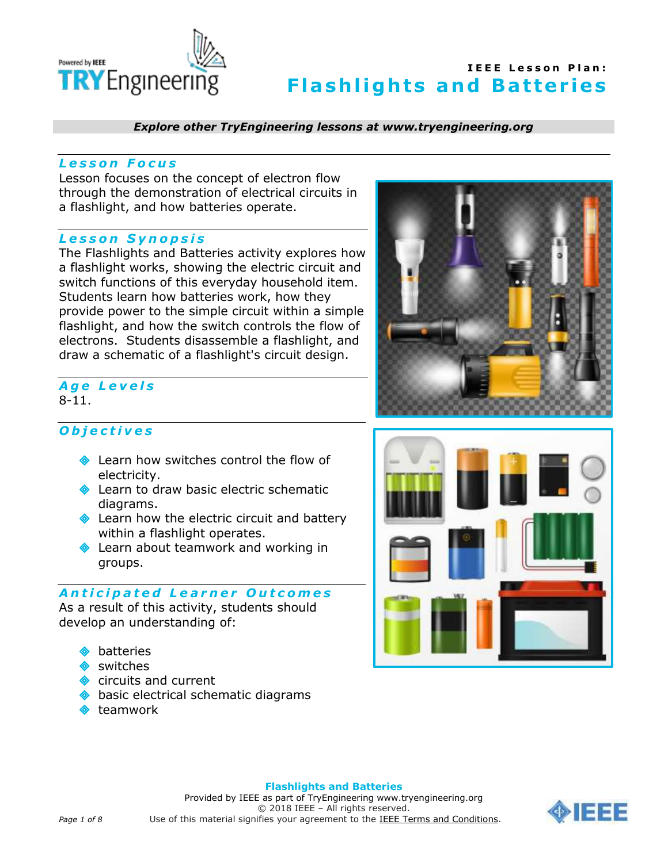

*Explore other TryEngineering lessons at www.tryengineering.org*

### *L e s s o n F o c u s*

Lesson focuses on the concept of electron flow through the demonstration of electrical circuits in a flashlight, and how batteries operate.

#### *L e s s o n S y n o p s i s*

The Flashlights and Batteries activity explores how a flashlight works, showing the electric circuit and switch functions of this everyday household item. Students learn how batteries work, how they provide power to the simple circuit within a simple flashlight, and how the switch controls the flow of electrons. Students disassemble a flashlight, and draw a schematic of a flashlight's circuit design.

### *A g e L e v e l s* 8-11.

*O b j e c t i v e s* 

- **Exam how switches control the flow of** electricity.
- Learn to draw basic electric schematic diagrams.
- **◆** Learn how the electric circuit and battery within a flashlight operates.
- **◆** Learn about teamwork and working in groups.

### *A n t i c i p a t e d L e a r n e r O u t c o m e s*

As a result of this activity, students should develop an understanding of:

- batteries
- switches
- circuits and current
- basic electrical schematic diagrams
- teamwork





#### **Flashlights and Batteries**

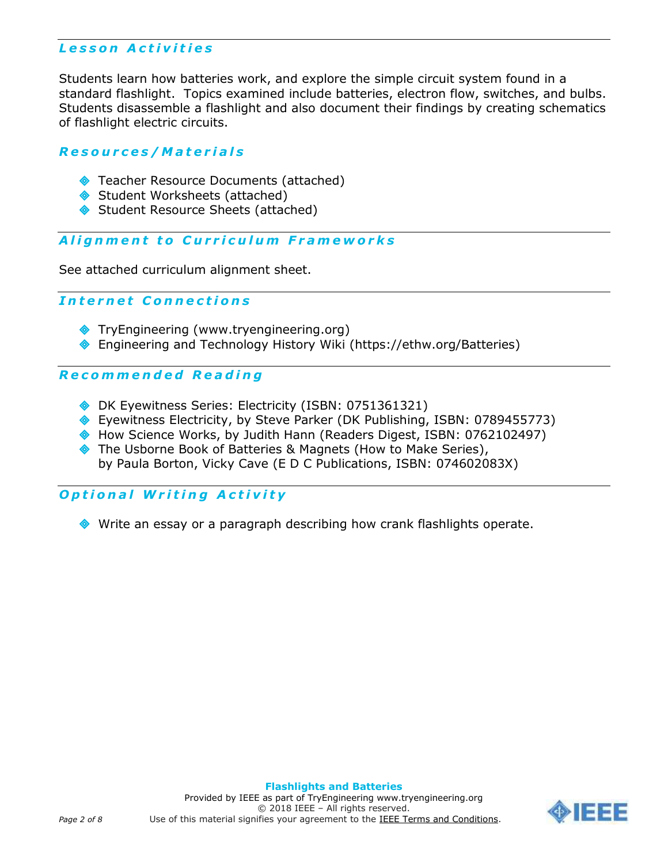# *L e s s o n A c t i v i t i e s*

Students learn how batteries work, and explore the simple circuit system found in a standard flashlight. Topics examined include batteries, electron flow, switches, and bulbs. Students disassemble a flashlight and also document their findings by creating schematics of flashlight electric circuits.

### *R e s o u r c e s / M a t e r i a l s*

- ◆ Teacher Resource Documents (attached)
- Student Worksheets (attached)
- Student Resource Sheets (attached)

### *A l i g n m e n t t o C u r r i c u l u m F r a m e w o r k s*

See attached curriculum alignment sheet.

### *I n t e r n e t C o n n e c t i o n s*

- TryEngineering (www.tryengineering.org)
- Engineering and Technology History Wiki (https://ethw.org/Batteries)

### *R e c o m m e n d e d R e a d i n g*

- DK Eyewitness Series: Electricity (ISBN: 0751361321)
- ◆ Eyewitness Electricity, by Steve Parker (DK Publishing, ISBN: 0789455773)
- ◆ [How Science Works,](http://www.amazon.com/exec/obidos/tg/detail/-/0762102497/qid=1080242513/sr=8-6/ref=sr_8_xs_ap_i6_xgl14/102-8413340-3113720?v=glance&s=books&n=507846) by Judith Hann (Readers Digest, ISBN: 0762102497)
- The Usborne Book of Batteries & Magnets (How to Make Series), by [Paula Borton,](http://www.amazon.com/exec/obidos/search-handle-url/index=books&field-author=Borton%2C%20Paula/102-8413340-3113720) [Vicky Cave](http://www.amazon.com/exec/obidos/search-handle-url/index=books&field-author=Cave%2C%20Vicky/102-8413340-3113720) (E D C Publications, ISBN: 074602083X)

# *O p t i o n a l W r i t i n g A c t i v i t y*

Write an essay or a paragraph describing how crank flashlights operate.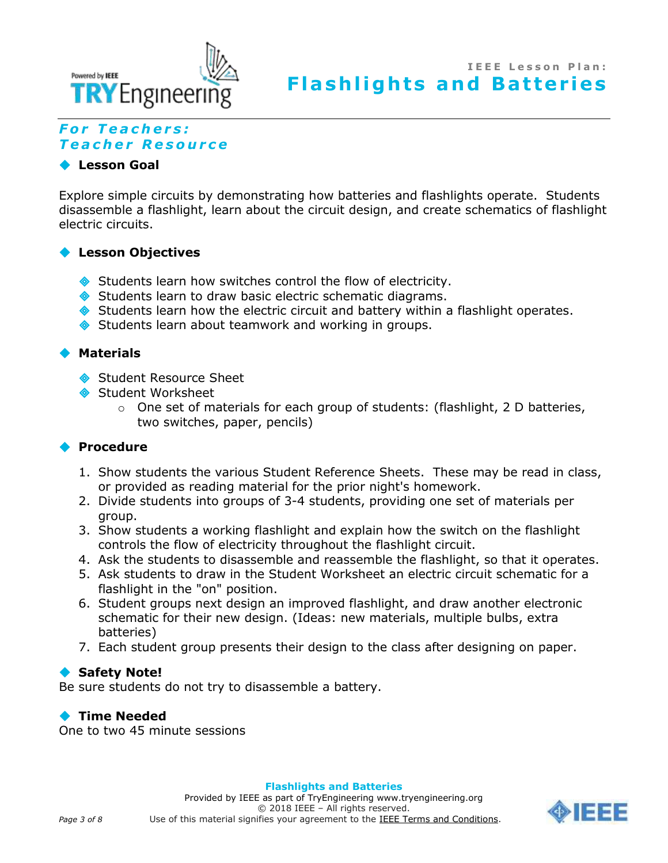

# *F o r T e a c h e r s : T e a c h e r R e s o u r c e*

### **Lesson Goal**

Explore simple circuits by demonstrating how batteries and flashlights operate. Students disassemble a flashlight, learn about the circuit design, and create schematics of flashlight electric circuits.

## **Lesson Objectives**

- Students learn how switches control the flow of electricity.
- Students learn to draw basic electric schematic diagrams.
- Students learn how the electric circuit and battery within a flashlight operates.
- Students learn about teamwork and working in groups.

### **Materials**

- Student Resource Sheet
- Student Worksheet
	- $\circ$  One set of materials for each group of students: (flashlight, 2 D batteries, two switches, paper, pencils)

### **Procedure**

- 1. Show students the various Student Reference Sheets. These may be read in class, or provided as reading material for the prior night's homework.
- 2. Divide students into groups of 3-4 students, providing one set of materials per group.
- 3. Show students a working flashlight and explain how the switch on the flashlight controls the flow of electricity throughout the flashlight circuit.
- 4. Ask the students to disassemble and reassemble the flashlight, so that it operates.
- 5. Ask students to draw in the Student Worksheet an electric circuit schematic for a flashlight in the "on" position.
- 6. Student groups next design an improved flashlight, and draw another electronic schematic for their new design. (Ideas: new materials, multiple bulbs, extra batteries)
- 7. Each student group presents their design to the class after designing on paper.

### ◆ Safety Note!

Be sure students do not try to disassemble a battery.

## **Time Needed**

One to two 45 minute sessions

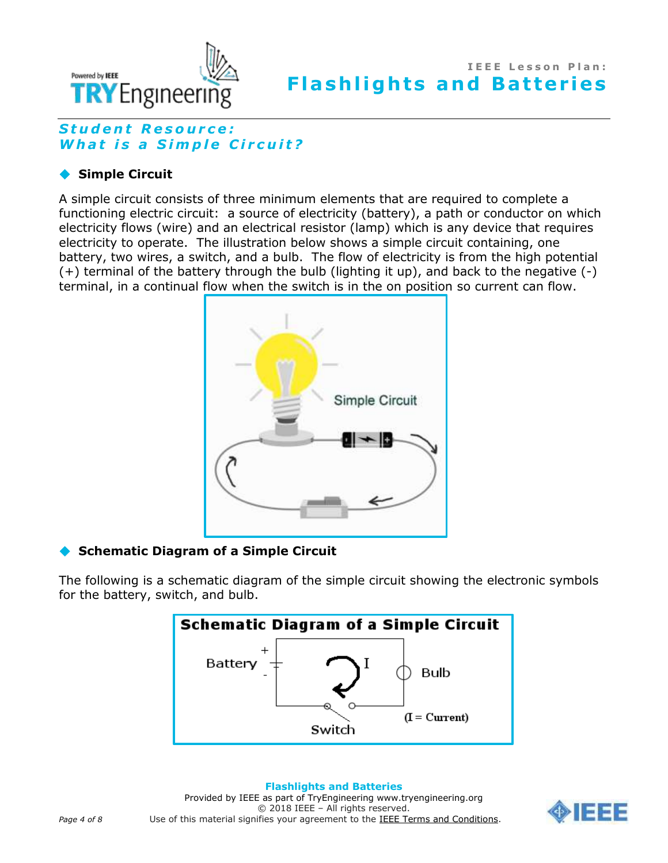

# *S t u d e n t R e s o u r c e : What is a Simple Circuit?*

## **Simple Circuit**

A simple circuit consists of three minimum elements that are required to complete a functioning electric circuit: a source of electricity (battery), a path or conductor on which electricity flows (wire) and an electrical resistor (lamp) which is any device that requires electricity to operate. The illustration below shows a simple circuit containing, one battery, two wires, a switch, and a bulb. The flow of electricity is from the high potential (+) terminal of the battery through the bulb (lighting it up), and back to the negative (-) terminal, in a continual flow when the switch is in the on position so current can flow.



## **Schematic Diagram of a Simple Circuit**

The following is a schematic diagram of the simple circuit showing the electronic symbols for the battery, switch, and bulb.



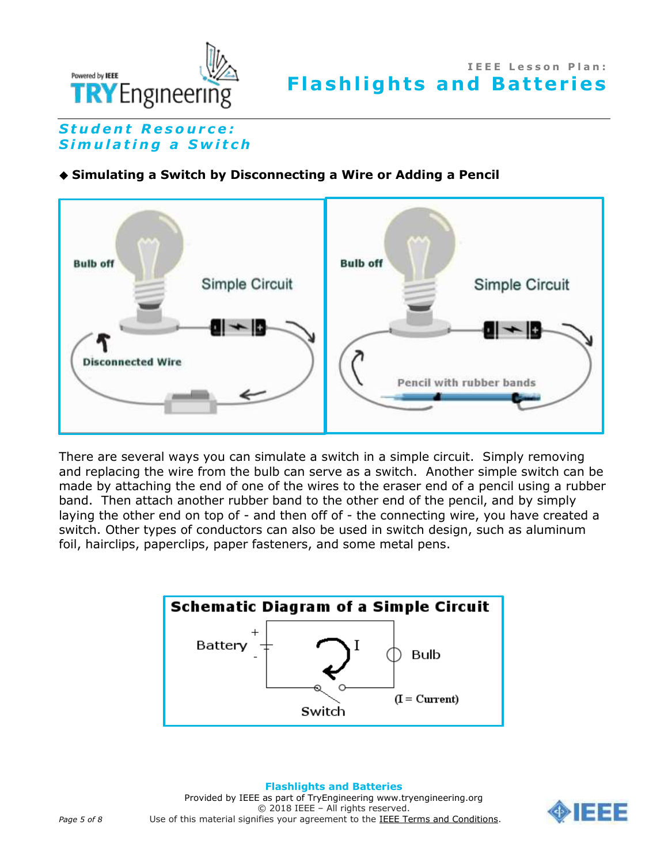

# **Student Resource:** *S i m u l a t i n g a S w i t c h*

## **Simulating a Switch by Disconnecting a Wire or Adding a Pencil**



There are several ways you can simulate a switch in a simple circuit. Simply removing and replacing the wire from the bulb can serve as a switch. Another simple switch can be made by attaching the end of one of the wires to the eraser end of a pencil using a rubber band. Then attach another rubber band to the other end of the pencil, and by simply laying the other end on top of - and then off of - the connecting wire, you have created a switch. Other types of conductors can also be used in switch design, such as aluminum foil, hairclips, paperclips, paper fasteners, and some metal pens.



**Flashlights and Batteries** Provided by IEEE as part of TryEngineering www.tryengineering.org © 2018 IEEE – All rights reserved. Page 5 of 8 **Use of this material signifies your agreement to the [IEEE Terms and Conditions.](https://www.ieee.org/site-terms-conditions.html)** 

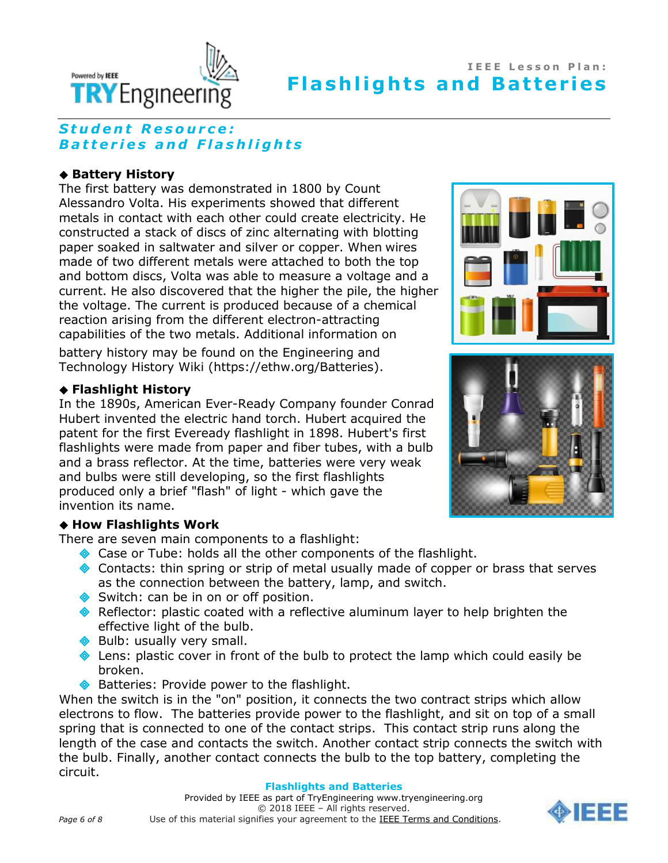

# **Student Resource:** *B a t t e r i e s a n d F l a s h l i g h t s*

### ◆ Battery History

The first battery was demonstrated in 1800 by Count Alessandro Volta. His experiments showed that different metals in contact with each other could create electricity. He constructed a stack of discs of zinc alternating with blotting paper soaked in saltwater and silver or copper. When wires made of two different metals were attached to both the top and bottom discs, Volta was able to measure a voltage and a current. He also discovered that the higher the pile, the higher the voltage. The current is produced because of a chemical reaction arising from the different electron-attracting capabilities of the two metals. Additional information on

battery history may be found on the Engineering and Technology History Wiki (https://ethw.org/Batteries).

### **Flashlight History**

In the 1890s, American Ever-Ready Company founder Conrad Hubert invented the electric hand torch. Hubert acquired the patent for the first Eveready flashlight in 1898. Hubert's first flashlights were made from paper and fiber tubes, with a bulb and a brass reflector. At the time, batteries were very weak and bulbs were still developing, so the first flashlights produced only a brief "flash" of light - which gave the invention its name.

### **How Flashlights Work**

There are seven main components to a flashlight:

- ◆ Case or Tube: holds all the other components of the flashlight.
- Contacts: thin spring or strip of metal usually made of copper or brass that serves as the connection between the battery, lamp, and switch.
- Switch: can be in on or off position.
- Reflector: plastic coated with a reflective aluminum layer to help brighten the effective light of the bulb.
- Bulb: usually very small.
- $\bullet$  Lens: plastic cover in front of the bulb to protect the lamp which could easily be broken.
- ◆ Batteries: Provide power to the flashlight.

When the switch is in the "on" position, it connects the two contract strips which allow electrons to flow. The batteries provide power to the flashlight, and sit on top of a small spring that is connected to one of the contact strips. This contact strip runs along the length of the case and contacts the switch. Another contact strip connects the switch with the bulb. Finally, another contact connects the bulb to the top battery, completing the circuit.

#### **Flashlights and Batteries**





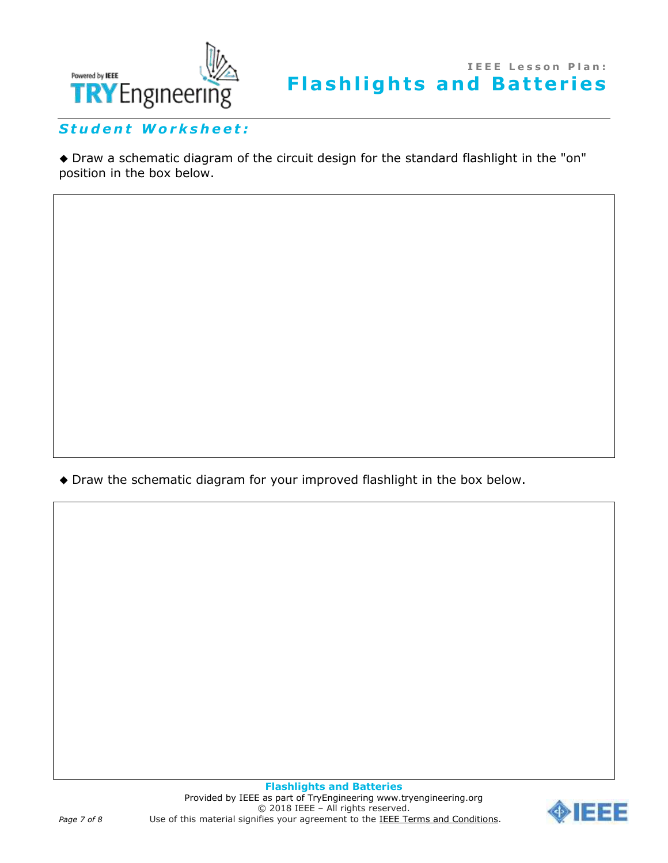

*S t u d e n t W o r k s h e e t :*

 Draw a schematic diagram of the circuit design for the standard flashlight in the "on" position in the box below.

Draw the schematic diagram for your improved flashlight in the box below.